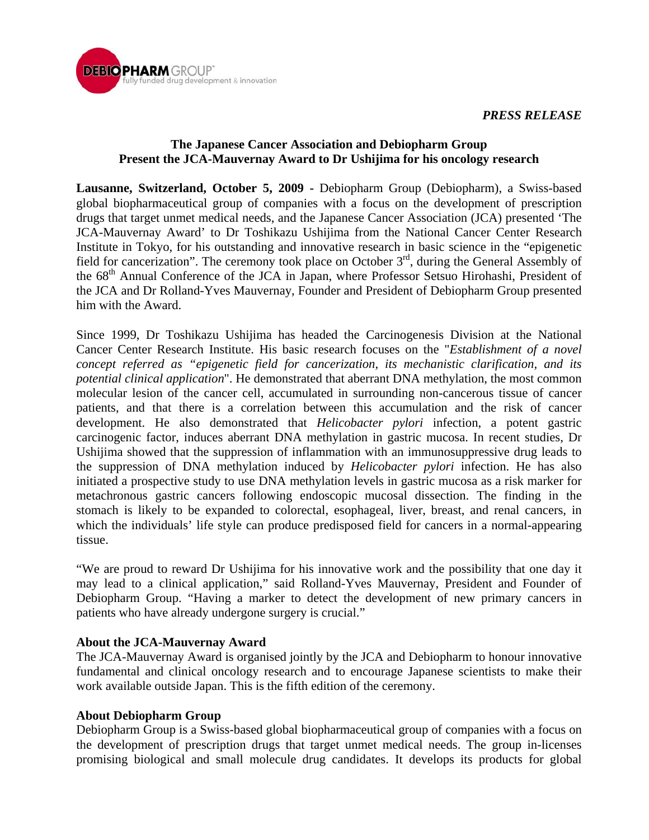

## **The Japanese Cancer Association and Debiopharm Group Present the JCA-Mauvernay Award to Dr Ushijima for his oncology research**

**Lausanne, Switzerland, October 5, 2009 -** Debiopharm Group (Debiopharm), a Swiss-based global biopharmaceutical group of companies with a focus on the development of prescription drugs that target unmet medical needs, and the Japanese Cancer Association (JCA) presented 'The JCA-Mauvernay Award' to Dr Toshikazu Ushijima from the National Cancer Center Research Institute in Tokyo, for his outstanding and innovative research in basic science in the "epigenetic field for cancerization". The ceremony took place on October  $3<sup>rd</sup>$ , during the General Assembly of the 68<sup>th</sup> Annual Conference of the JCA in Japan, where Professor Setsuo Hirohashi, President of the JCA and Dr Rolland-Yves Mauvernay, Founder and President of Debiopharm Group presented him with the Award.

Since 1999, Dr Toshikazu Ushijima has headed the Carcinogenesis Division at the National Cancer Center Research Institute. His basic research focuses on the "*Establishment of a novel concept referred as "epigenetic field for cancerization, its mechanistic clarification, and its potential clinical application*". He demonstrated that aberrant DNA methylation, the most common molecular lesion of the cancer cell, accumulated in surrounding non-cancerous tissue of cancer patients, and that there is a correlation between this accumulation and the risk of cancer development. He also demonstrated that *Helicobacter pylori* infection, a potent gastric carcinogenic factor, induces aberrant DNA methylation in gastric mucosa. In recent studies, Dr Ushijima showed that the suppression of inflammation with an immunosuppressive drug leads to the suppression of DNA methylation induced by *Helicobacter pylori* infection. He has also initiated a prospective study to use DNA methylation levels in gastric mucosa as a risk marker for metachronous gastric cancers following endoscopic mucosal dissection. The finding in the stomach is likely to be expanded to colorectal, esophageal, liver, breast, and renal cancers, in which the individuals' life style can produce predisposed field for cancers in a normal-appearing tissue.

"We are proud to reward Dr Ushijima for his innovative work and the possibility that one day it may lead to a clinical application," said Rolland-Yves Mauvernay, President and Founder of Debiopharm Group. "Having a marker to detect the development of new primary cancers in patients who have already undergone surgery is crucial."

## **About the JCA-Mauvernay Award**

The JCA-Mauvernay Award is organised jointly by the JCA and Debiopharm to honour innovative fundamental and clinical oncology research and to encourage Japanese scientists to make their work available outside Japan. This is the fifth edition of the ceremony.

## **About Debiopharm Group**

Debiopharm Group is a Swiss-based global biopharmaceutical group of companies with a focus on the development of prescription drugs that target unmet medical needs. The group in-licenses promising biological and small molecule drug candidates. It develops its products for global